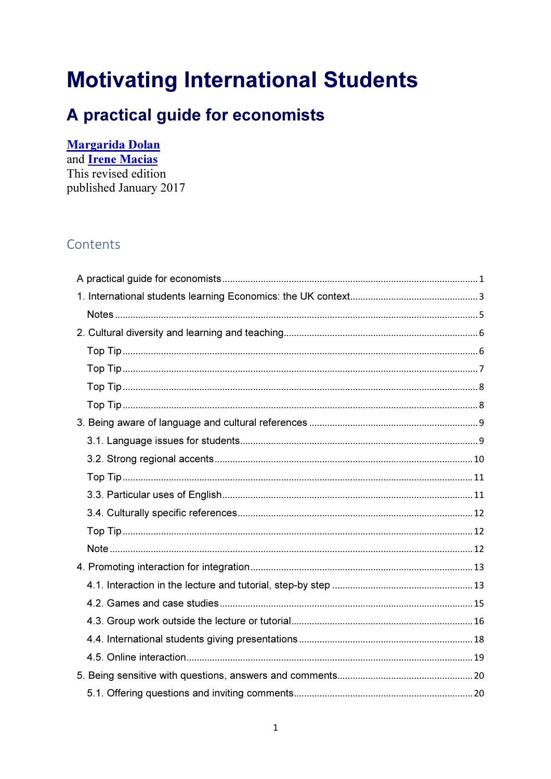# **Motivating International Students**

# A practical guide for economists

#### **Margarida Dolan**

and **Irene Macias** This revised edition published January 2017

### Contents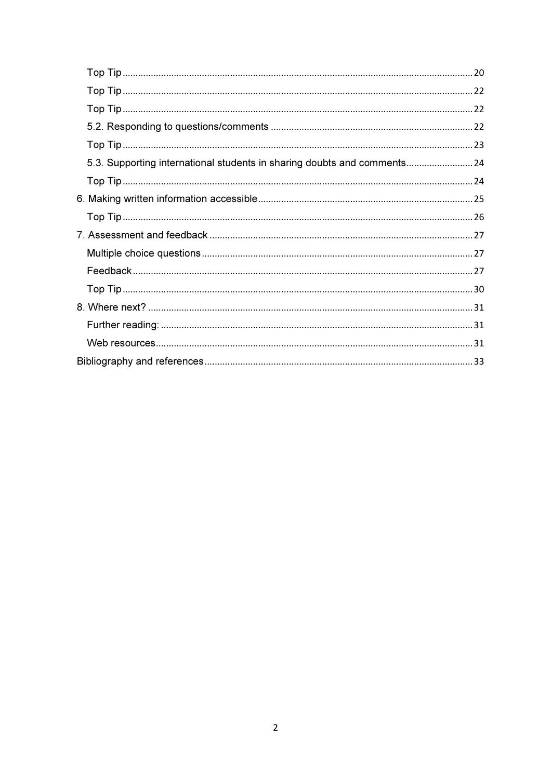| 5.3. Supporting international students in sharing doubts and comments 24 |  |
|--------------------------------------------------------------------------|--|
|                                                                          |  |
|                                                                          |  |
|                                                                          |  |
|                                                                          |  |
|                                                                          |  |
|                                                                          |  |
|                                                                          |  |
|                                                                          |  |
|                                                                          |  |
|                                                                          |  |
|                                                                          |  |
|                                                                          |  |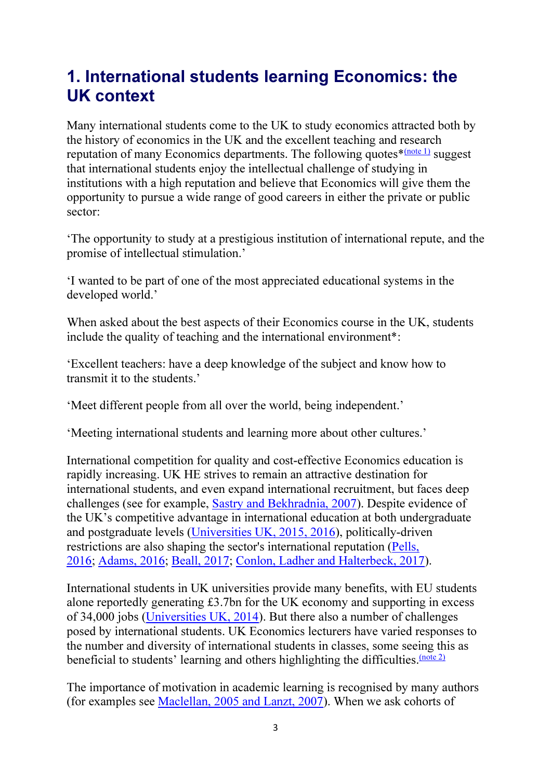# 1. International students learning Economics: the UK context

Many international students come to the UK to study economics attracted both by the history of economics in the UK and the excellent teaching and research reputation of many Economics departments. The following quotes $\frac{\text{mote 1}}{\text{mose 1}}$  suggest that international students enjoy the intellectual challenge of studying in institutions with a high reputation and believe that Economics will give them the opportunity to pursue a wide range of good careers in either the private or public sector:

'The opportunity to study at a prestigious institution of international repute, and the promise of intellectual stimulation.'

'I wanted to be part of one of the most appreciated educational systems in the developed world.'

When asked about the best aspects of their Economics course in the UK, students include the quality of teaching and the international environment\*:

'Excellent teachers: have a deep knowledge of the subject and know how to transmit it to the students.'

'Meet different people from all over the world, being independent.'

'Meeting international students and learning more about other cultures.'

International competition for quality and cost-effective Economics education is rapidly increasing. UK HE strives to remain an attractive destination for international students, and even expand international recruitment, but faces deep challenges (see for example, Sastry and Bekhradnia, 2007). Despite evidence of the UK's competitive advantage in international education at both undergraduate and postgraduate levels (Universities UK, 2015, 2016), politically-driven restrictions are also shaping the sector's international reputation (Pells, 2016; Adams, 2016; Beall, 2017; Conlon, Ladher and Halterbeck, 2017).

International students in UK universities provide many benefits, with EU students alone reportedly generating £3.7bn for the UK economy and supporting in excess of 34,000 jobs (Universities UK, 2014). But there also a number of challenges posed by international students. UK Economics lecturers have varied responses to the number and diversity of international students in classes, some seeing this as beneficial to students' learning and others highlighting the difficulties. (note 2)

The importance of motivation in academic learning is recognised by many authors (for examples see Maclellan, 2005 and Lanzt, 2007). When we ask cohorts of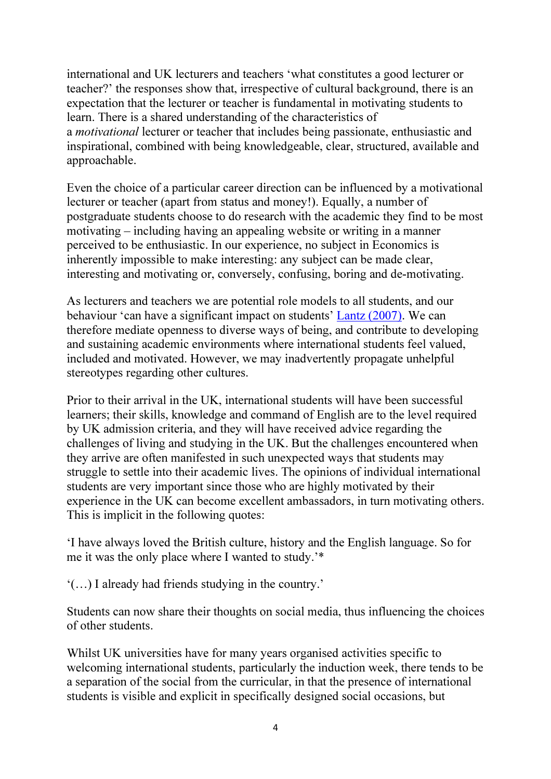international and UK lecturers and teachers 'what constitutes a good lecturer or teacher?' the responses show that, irrespective of cultural background, there is an expectation that the lecturer or teacher is fundamental in motivating students to learn. There is a shared understanding of the characteristics of a *motivational* lecturer or teacher that includes being passionate, enthusiastic and inspirational, combined with being knowledgeable, clear, structured, available and approachable.

Even the choice of a particular career direction can be influenced by a motivational lecturer or teacher (apart from status and money!). Equally, a number of postgraduate students choose to do research with the academic they find to be most motivating – including having an appealing website or writing in a manner perceived to be enthusiastic. In our experience, no subject in Economics is inherently impossible to make interesting: any subject can be made clear, interesting and motivating or, conversely, confusing, boring and de-motivating.

As lecturers and teachers we are potential role models to all students, and our behaviour 'can have a significant impact on students' Lantz (2007). We can therefore mediate openness to diverse ways of being, and contribute to developing and sustaining academic environments where international students feel valued, included and motivated. However, we may inadvertently propagate unhelpful stereotypes regarding other cultures.

Prior to their arrival in the UK, international students will have been successful learners; their skills, knowledge and command of English are to the level required by UK admission criteria, and they will have received advice regarding the challenges of living and studying in the UK. But the challenges encountered when they arrive are often manifested in such unexpected ways that students may struggle to settle into their academic lives. The opinions of individual international students are very important since those who are highly motivated by their experience in the UK can become excellent ambassadors, in turn motivating others. This is implicit in the following quotes:

'I have always loved the British culture, history and the English language. So for me it was the only place where I wanted to study.'\*

'(…) I already had friends studying in the country.'

Students can now share their thoughts on social media, thus influencing the choices of other students.

Whilst UK universities have for many years organised activities specific to welcoming international students, particularly the induction week, there tends to be a separation of the social from the curricular, in that the presence of international students is visible and explicit in specifically designed social occasions, but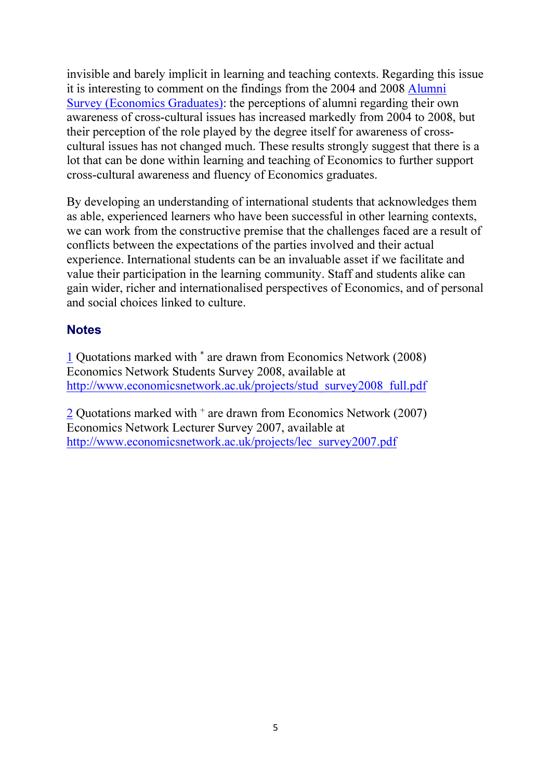invisible and barely implicit in learning and teaching contexts. Regarding this issue it is interesting to comment on the findings from the 2004 and 2008 Alumni Survey (Economics Graduates): the perceptions of alumni regarding their own awareness of cross-cultural issues has increased markedly from 2004 to 2008, but their perception of the role played by the degree itself for awareness of crosscultural issues has not changed much. These results strongly suggest that there is a lot that can be done within learning and teaching of Economics to further support cross-cultural awareness and fluency of Economics graduates.

By developing an understanding of international students that acknowledges them as able, experienced learners who have been successful in other learning contexts, we can work from the constructive premise that the challenges faced are a result of conflicts between the expectations of the parties involved and their actual experience. International students can be an invaluable asset if we facilitate and value their participation in the learning community. Staff and students alike can gain wider, richer and internationalised perspectives of Economics, and of personal and social choices linked to culture.

#### **Notes**

1 Quotations marked with \* are drawn from Economics Network (2008) Economics Network Students Survey 2008, available at http://www.economicsnetwork.ac.uk/projects/stud\_survey2008\_full.pdf

 $\frac{2}{2}$  Quotations marked with  $+$  are drawn from Economics Network (2007) Economics Network Lecturer Survey 2007, available at http://www.economicsnetwork.ac.uk/projects/lec\_survey2007.pdf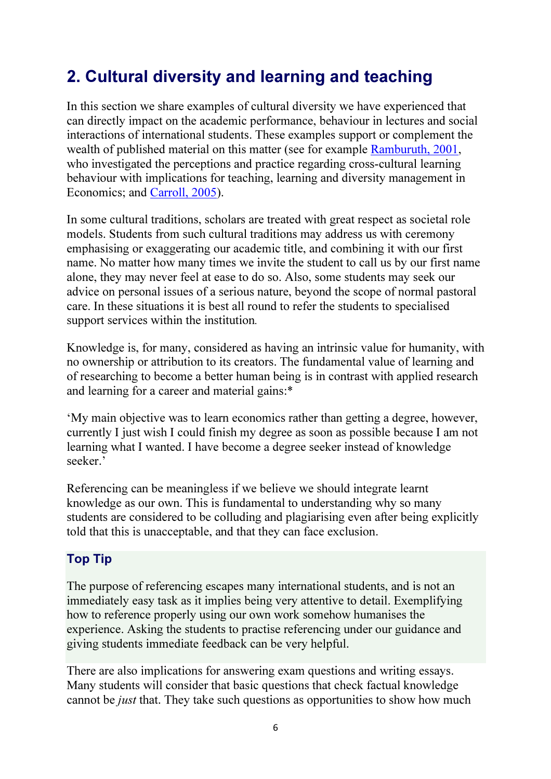# 2. Cultural diversity and learning and teaching

In this section we share examples of cultural diversity we have experienced that can directly impact on the academic performance, behaviour in lectures and social interactions of international students. These examples support or complement the wealth of published material on this matter (see for example Ramburuth, 2001, who investigated the perceptions and practice regarding cross-cultural learning behaviour with implications for teaching, learning and diversity management in Economics; and Carroll, 2005).

In some cultural traditions, scholars are treated with great respect as societal role models. Students from such cultural traditions may address us with ceremony emphasising or exaggerating our academic title, and combining it with our first name. No matter how many times we invite the student to call us by our first name alone, they may never feel at ease to do so. Also, some students may seek our advice on personal issues of a serious nature, beyond the scope of normal pastoral care. In these situations it is best all round to refer the students to specialised support services within the institution*.*

Knowledge is, for many, considered as having an intrinsic value for humanity, with no ownership or attribution to its creators. The fundamental value of learning and of researching to become a better human being is in contrast with applied research and learning for a career and material gains:\*

'My main objective was to learn economics rather than getting a degree, however, currently I just wish I could finish my degree as soon as possible because I am not learning what I wanted. I have become a degree seeker instead of knowledge seeker.'

Referencing can be meaningless if we believe we should integrate learnt knowledge as our own. This is fundamental to understanding why so many students are considered to be colluding and plagiarising even after being explicitly told that this is unacceptable, and that they can face exclusion.

#### Top Tip

The purpose of referencing escapes many international students, and is not an immediately easy task as it implies being very attentive to detail. Exemplifying how to reference properly using our own work somehow humanises the experience. Asking the students to practise referencing under our guidance and giving students immediate feedback can be very helpful.

There are also implications for answering exam questions and writing essays. Many students will consider that basic questions that check factual knowledge cannot be *just* that. They take such questions as opportunities to show how much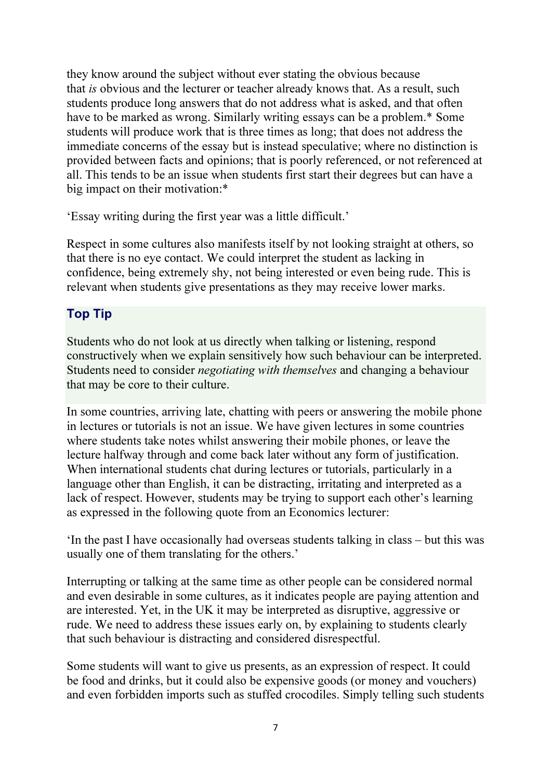they know around the subject without ever stating the obvious because that *is* obvious and the lecturer or teacher already knows that. As a result, such students produce long answers that do not address what is asked, and that often have to be marked as wrong. Similarly writing essays can be a problem.\* Some students will produce work that is three times as long; that does not address the immediate concerns of the essay but is instead speculative; where no distinction is provided between facts and opinions; that is poorly referenced, or not referenced at all. This tends to be an issue when students first start their degrees but can have a big impact on their motivation:\*

'Essay writing during the first year was a little difficult.'

Respect in some cultures also manifests itself by not looking straight at others, so that there is no eye contact. We could interpret the student as lacking in confidence, being extremely shy, not being interested or even being rude. This is relevant when students give presentations as they may receive lower marks.

#### Top Tip

Students who do not look at us directly when talking or listening, respond constructively when we explain sensitively how such behaviour can be interpreted. Students need to consider *negotiating with themselves* and changing a behaviour that may be core to their culture.

In some countries, arriving late, chatting with peers or answering the mobile phone in lectures or tutorials is not an issue. We have given lectures in some countries where students take notes whilst answering their mobile phones, or leave the lecture halfway through and come back later without any form of justification. When international students chat during lectures or tutorials, particularly in a language other than English, it can be distracting, irritating and interpreted as a lack of respect. However, students may be trying to support each other's learning as expressed in the following quote from an Economics lecturer:

'In the past I have occasionally had overseas students talking in class – but this was usually one of them translating for the others.'

Interrupting or talking at the same time as other people can be considered normal and even desirable in some cultures, as it indicates people are paying attention and are interested. Yet, in the UK it may be interpreted as disruptive, aggressive or rude. We need to address these issues early on, by explaining to students clearly that such behaviour is distracting and considered disrespectful.

Some students will want to give us presents, as an expression of respect. It could be food and drinks, but it could also be expensive goods (or money and vouchers) and even forbidden imports such as stuffed crocodiles. Simply telling such students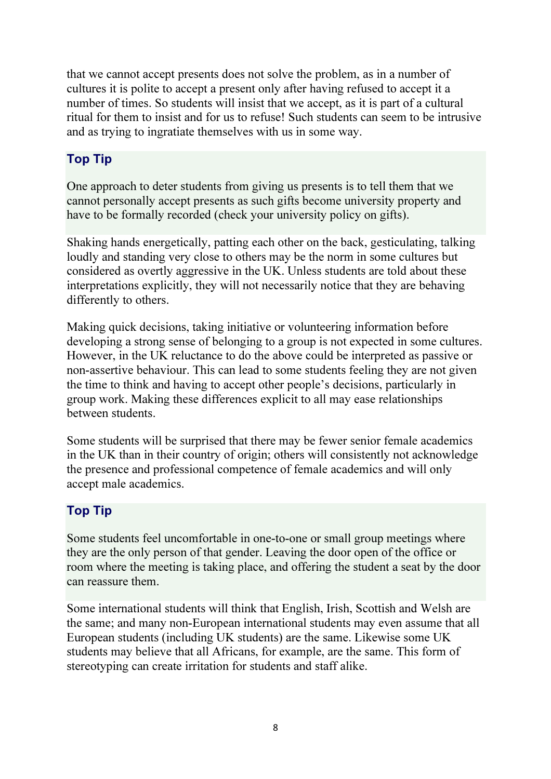that we cannot accept presents does not solve the problem, as in a number of cultures it is polite to accept a present only after having refused to accept it a number of times. So students will insist that we accept, as it is part of a cultural ritual for them to insist and for us to refuse! Such students can seem to be intrusive and as trying to ingratiate themselves with us in some way.

#### Top Tip

One approach to deter students from giving us presents is to tell them that we cannot personally accept presents as such gifts become university property and have to be formally recorded (check your university policy on gifts).

Shaking hands energetically, patting each other on the back, gesticulating, talking loudly and standing very close to others may be the norm in some cultures but considered as overtly aggressive in the UK. Unless students are told about these interpretations explicitly, they will not necessarily notice that they are behaving differently to others.

Making quick decisions, taking initiative or volunteering information before developing a strong sense of belonging to a group is not expected in some cultures. However, in the UK reluctance to do the above could be interpreted as passive or non-assertive behaviour. This can lead to some students feeling they are not given the time to think and having to accept other people's decisions, particularly in group work. Making these differences explicit to all may ease relationships between students.

Some students will be surprised that there may be fewer senior female academics in the UK than in their country of origin; others will consistently not acknowledge the presence and professional competence of female academics and will only accept male academics.

#### Top Tip

Some students feel uncomfortable in one-to-one or small group meetings where they are the only person of that gender. Leaving the door open of the office or room where the meeting is taking place, and offering the student a seat by the door can reassure them.

Some international students will think that English, Irish, Scottish and Welsh are the same; and many non-European international students may even assume that all European students (including UK students) are the same. Likewise some UK students may believe that all Africans, for example, are the same. This form of stereotyping can create irritation for students and staff alike.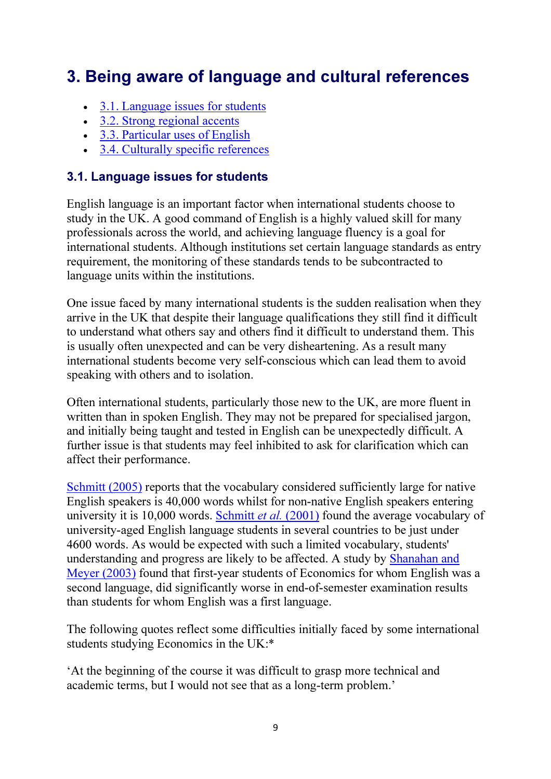# 3. Being aware of language and cultural references

- 3.1. Language issues for students
- 3.2. Strong regional accents
- 3.3. Particular uses of English
- 3.4. Culturally specific references

#### 3.1. Language issues for students

English language is an important factor when international students choose to study in the UK. A good command of English is a highly valued skill for many professionals across the world, and achieving language fluency is a goal for international students. Although institutions set certain language standards as entry requirement, the monitoring of these standards tends to be subcontracted to language units within the institutions.

One issue faced by many international students is the sudden realisation when they arrive in the UK that despite their language qualifications they still find it difficult to understand what others say and others find it difficult to understand them. This is usually often unexpected and can be very disheartening. As a result many international students become very self-conscious which can lead them to avoid speaking with others and to isolation.

Often international students, particularly those new to the UK, are more fluent in written than in spoken English. They may not be prepared for specialised jargon, and initially being taught and tested in English can be unexpectedly difficult. A further issue is that students may feel inhibited to ask for clarification which can affect their performance.

Schmitt (2005) reports that the vocabulary considered sufficiently large for native English speakers is 40,000 words whilst for non-native English speakers entering university it is 10,000 words. Schmitt *et al.* (2001) found the average vocabulary of university-aged English language students in several countries to be just under 4600 words. As would be expected with such a limited vocabulary, students' understanding and progress are likely to be affected. A study by Shanahan and Meyer (2003) found that first-year students of Economics for whom English was a second language, did significantly worse in end-of-semester examination results than students for whom English was a first language.

The following quotes reflect some difficulties initially faced by some international students studying Economics in the UK:\*

'At the beginning of the course it was difficult to grasp more technical and academic terms, but I would not see that as a long-term problem.'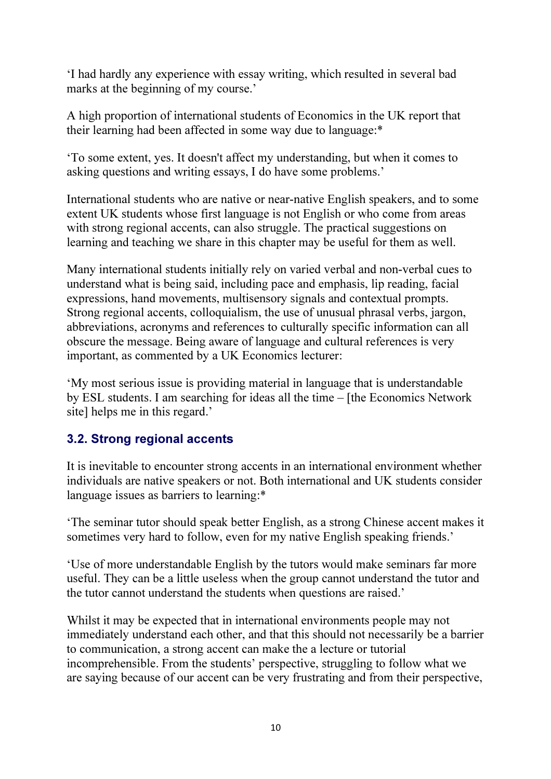'I had hardly any experience with essay writing, which resulted in several bad marks at the beginning of my course.'

A high proportion of international students of Economics in the UK report that their learning had been affected in some way due to language:\*

'To some extent, yes. It doesn't affect my understanding, but when it comes to asking questions and writing essays, I do have some problems.'

International students who are native or near-native English speakers, and to some extent UK students whose first language is not English or who come from areas with strong regional accents, can also struggle. The practical suggestions on learning and teaching we share in this chapter may be useful for them as well.

Many international students initially rely on varied verbal and non-verbal cues to understand what is being said, including pace and emphasis, lip reading, facial expressions, hand movements, multisensory signals and contextual prompts. Strong regional accents, colloquialism, the use of unusual phrasal verbs, jargon, abbreviations, acronyms and references to culturally specific information can all obscure the message. Being aware of language and cultural references is very important, as commented by a UK Economics lecturer:

'My most serious issue is providing material in language that is understandable by ESL students. I am searching for ideas all the time – [the Economics Network site] helps me in this regard.'

#### 3.2. Strong regional accents

It is inevitable to encounter strong accents in an international environment whether individuals are native speakers or not. Both international and UK students consider language issues as barriers to learning:\*

'The seminar tutor should speak better English, as a strong Chinese accent makes it sometimes very hard to follow, even for my native English speaking friends.'

'Use of more understandable English by the tutors would make seminars far more useful. They can be a little useless when the group cannot understand the tutor and the tutor cannot understand the students when questions are raised.'

Whilst it may be expected that in international environments people may not immediately understand each other, and that this should not necessarily be a barrier to communication, a strong accent can make the a lecture or tutorial incomprehensible. From the students' perspective, struggling to follow what we are saying because of our accent can be very frustrating and from their perspective,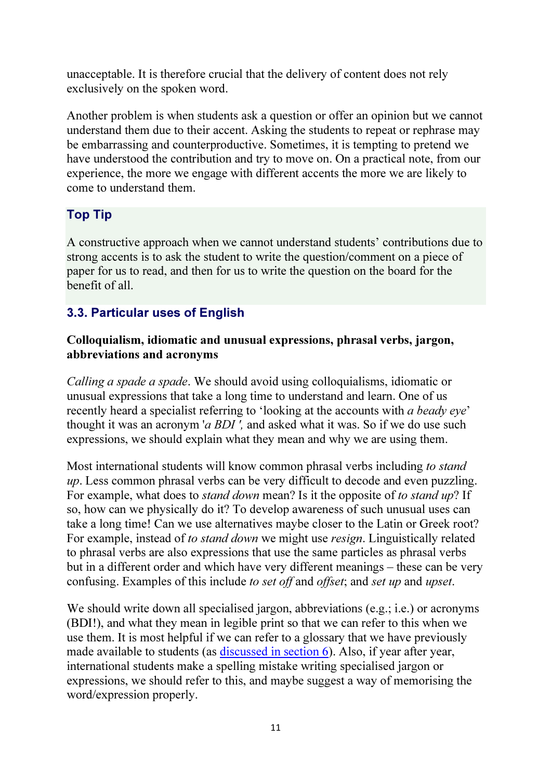unacceptable. It is therefore crucial that the delivery of content does not rely exclusively on the spoken word.

Another problem is when students ask a question or offer an opinion but we cannot understand them due to their accent. Asking the students to repeat or rephrase may be embarrassing and counterproductive. Sometimes, it is tempting to pretend we have understood the contribution and try to move on. On a practical note, from our experience, the more we engage with different accents the more we are likely to come to understand them.

#### Top Tip

A constructive approach when we cannot understand students' contributions due to strong accents is to ask the student to write the question/comment on a piece of paper for us to read, and then for us to write the question on the board for the benefit of all.

### 3.3. Particular uses of English

#### Colloquialism, idiomatic and unusual expressions, phrasal verbs, jargon, abbreviations and acronyms

*Calling a spade a spade*. We should avoid using colloquialisms, idiomatic or unusual expressions that take a long time to understand and learn. One of us recently heard a specialist referring to 'looking at the accounts with *a beady eye*' thought it was an acronym '*a BDI ',* and asked what it was. So if we do use such expressions, we should explain what they mean and why we are using them.

Most international students will know common phrasal verbs including *to stand up*. Less common phrasal verbs can be very difficult to decode and even puzzling. For example, what does to *stand down* mean? Is it the opposite of *to stand up*? If so, how can we physically do it? To develop awareness of such unusual uses can take a long time! Can we use alternatives maybe closer to the Latin or Greek root? For example, instead of *to stand down* we might use *resign*. Linguistically related to phrasal verbs are also expressions that use the same particles as phrasal verbs but in a different order and which have very different meanings – these can be very confusing. Examples of this include *to set off* and *offset*; and *set up* and *upset*.

We should write down all specialised jargon, abbreviations (e.g.; *i.e.*) or acronyms (BDI!), and what they mean in legible print so that we can refer to this when we use them. It is most helpful if we can refer to a glossary that we have previously made available to students (as discussed in section 6). Also, if year after year, international students make a spelling mistake writing specialised jargon or expressions, we should refer to this, and maybe suggest a way of memorising the word/expression properly.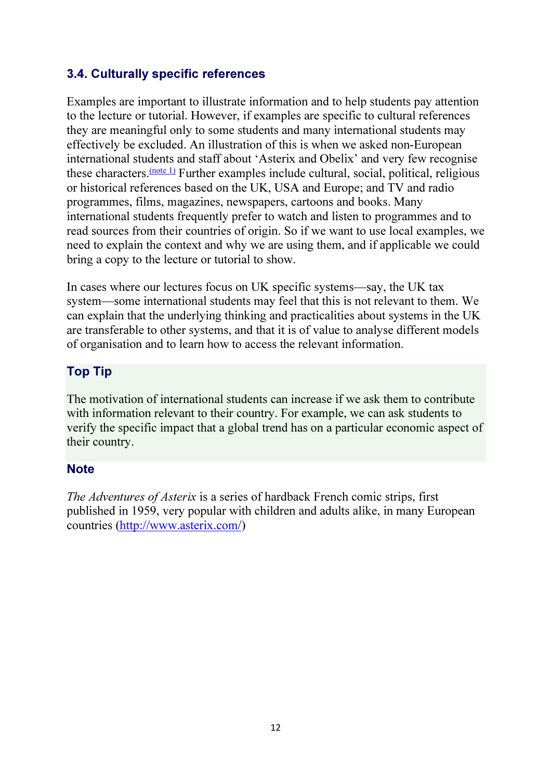#### 3.4. Culturally specific references

Examples are important to illustrate information and to help students pay attention to the lecture or tutorial. However, if examples are specific to cultural references they are meaningful only to some students and many international students may effectively be excluded. An illustration of this is when we asked non-European international students and staff about 'Asterix and Obelix' and very few recognise these characters.  $\frac{(note 1)}{}$  Further examples include cultural, social, political, religiousor historical references based on the UK, USA and Europe; and TV and radio programmes, films, magazines, newspapers, cartoons and books. Many international students frequently prefer to watch and listen to programmes and to read sources from their countries of origin. So if we want to use local examples, we need to explain the context and why we are using them, and if applicable we could bring a copy to the lecture or tutorial to show.

In cases where our lectures focus on UK specific systems—say, the UK tax system—some international students may feel that this is not relevant to them. We can explain that the underlying thinking and practicalities about systems in the UK are transferable to other systems, and that it is of value to analyse different models of organisation and to learn how to access the relevant information.

#### Top Tip

The motivation of international students can increase if we ask them to contribute with information relevant to their country. For example, we can ask students to verify the specific impact that a global trend has on a particular economic aspect of their country.

#### **Note**

*The Adventures of Asterix* is a series of hardback French comic strips, first published in 1959, very popular with children and adults alike, in many European countries (http://www.asterix.com/)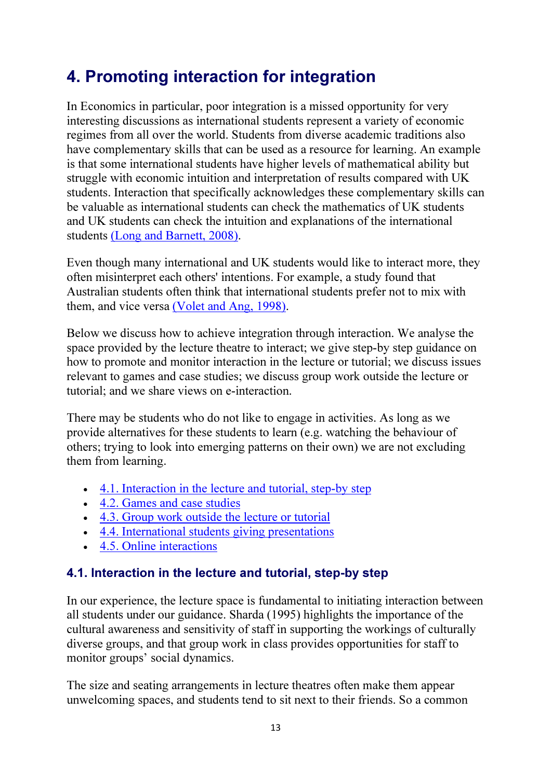# 4. Promoting interaction for integration

In Economics in particular, poor integration is a missed opportunity for very interesting discussions as international students represent a variety of economic regimes from all over the world. Students from diverse academic traditions also have complementary skills that can be used as a resource for learning. An example is that some international students have higher levels of mathematical ability but struggle with economic intuition and interpretation of results compared with UK students. Interaction that specifically acknowledges these complementary skills can be valuable as international students can check the mathematics of UK students and UK students can check the intuition and explanations of the international students (Long and Barnett, 2008).

Even though many international and UK students would like to interact more, they often misinterpret each others' intentions. For example, a study found that Australian students often think that international students prefer not to mix with them, and vice versa (Volet and Ang, 1998).

Below we discuss how to achieve integration through interaction. We analyse the space provided by the lecture theatre to interact; we give step-by step guidance on how to promote and monitor interaction in the lecture or tutorial; we discuss issues relevant to games and case studies; we discuss group work outside the lecture or tutorial; and we share views on e-interaction.

There may be students who do not like to engage in activities. As long as we provide alternatives for these students to learn (e.g. watching the behaviour of others; trying to look into emerging patterns on their own) we are not excluding them from learning.

- 4.1. Interaction in the lecture and tutorial, step-by step
- 4.2. Games and case studies
- 4.3. Group work outside the lecture or tutorial
- 4.4. International students giving presentations
- 4.5. Online interactions

#### 4.1. Interaction in the lecture and tutorial, step-by step

In our experience, the lecture space is fundamental to initiating interaction between all students under our guidance. Sharda (1995) highlights the importance of the cultural awareness and sensitivity of staff in supporting the workings of culturally diverse groups, and that group work in class provides opportunities for staff to monitor groups' social dynamics.

The size and seating arrangements in lecture theatres often make them appear unwelcoming spaces, and students tend to sit next to their friends. So a common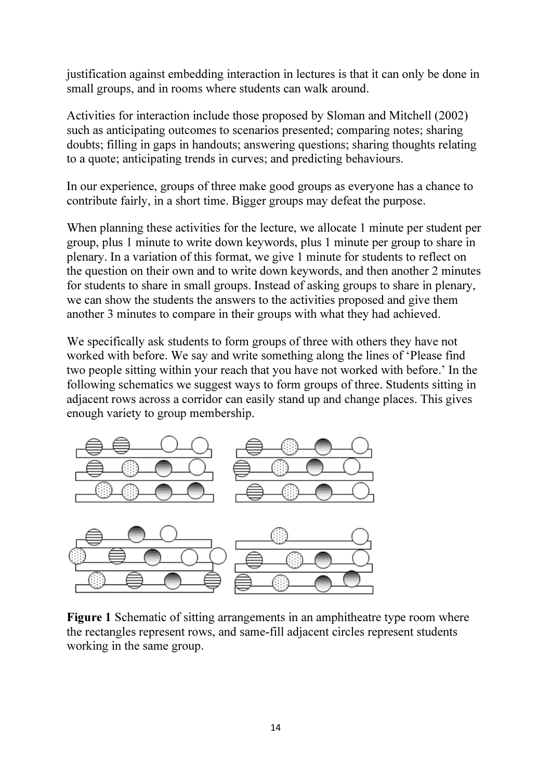justification against embedding interaction in lectures is that it can only be done in small groups, and in rooms where students can walk around.

Activities for interaction include those proposed by Sloman and Mitchell (2002) such as anticipating outcomes to scenarios presented; comparing notes; sharing doubts; filling in gaps in handouts; answering questions; sharing thoughts relating to a quote; anticipating trends in curves; and predicting behaviours.

In our experience, groups of three make good groups as everyone has a chance to contribute fairly, in a short time. Bigger groups may defeat the purpose.

When planning these activities for the lecture, we allocate 1 minute per student per group, plus 1 minute to write down keywords, plus 1 minute per group to share in plenary. In a variation of this format, we give 1 minute for students to reflect on the question on their own and to write down keywords, and then another 2 minutes for students to share in small groups. Instead of asking groups to share in plenary, we can show the students the answers to the activities proposed and give them another 3 minutes to compare in their groups with what they had achieved.

We specifically ask students to form groups of three with others they have not worked with before. We say and write something along the lines of 'Please find two people sitting within your reach that you have not worked with before.' In the following schematics we suggest ways to form groups of three. Students sitting in adjacent rows across a corridor can easily stand up and change places. This gives enough variety to group membership.



Figure 1 Schematic of sitting arrangements in an amphitheatre type room where the rectangles represent rows, and same-fill adjacent circles represent students working in the same group.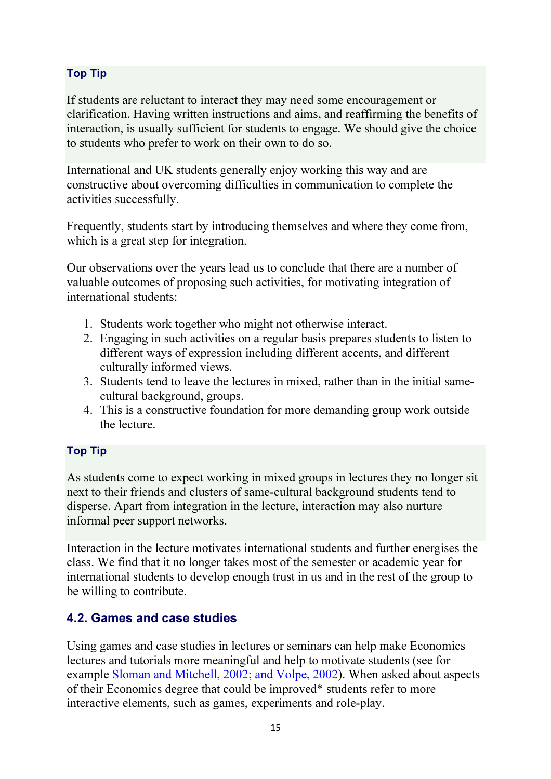#### Top Tip

If students are reluctant to interact they may need some encouragement or clarification. Having written instructions and aims, and reaffirming the benefits of interaction, is usually sufficient for students to engage. We should give the choice to students who prefer to work on their own to do so.

International and UK students generally enjoy working this way and are constructive about overcoming difficulties in communication to complete the activities successfully.

Frequently, students start by introducing themselves and where they come from, which is a great step for integration.

Our observations over the years lead us to conclude that there are a number of valuable outcomes of proposing such activities, for motivating integration of international students:

- 1. Students work together who might not otherwise interact.
- 2. Engaging in such activities on a regular basis prepares students to listen to different ways of expression including different accents, and different culturally informed views.
- 3. Students tend to leave the lectures in mixed, rather than in the initial samecultural background, groups.
- 4. This is a constructive foundation for more demanding group work outside the lecture.

#### Top Tip

As students come to expect working in mixed groups in lectures they no longer sit next to their friends and clusters of same-cultural background students tend to disperse. Apart from integration in the lecture, interaction may also nurture informal peer support networks.

Interaction in the lecture motivates international students and further energises the class. We find that it no longer takes most of the semester or academic year for international students to develop enough trust in us and in the rest of the group to be willing to contribute.

#### 4.2. Games and case studies

Using games and case studies in lectures or seminars can help make Economics lectures and tutorials more meaningful and help to motivate students (see for example Sloman and Mitchell, 2002; and Volpe, 2002). When asked about aspects of their Economics degree that could be improved\* students refer to more interactive elements, such as games, experiments and role-play.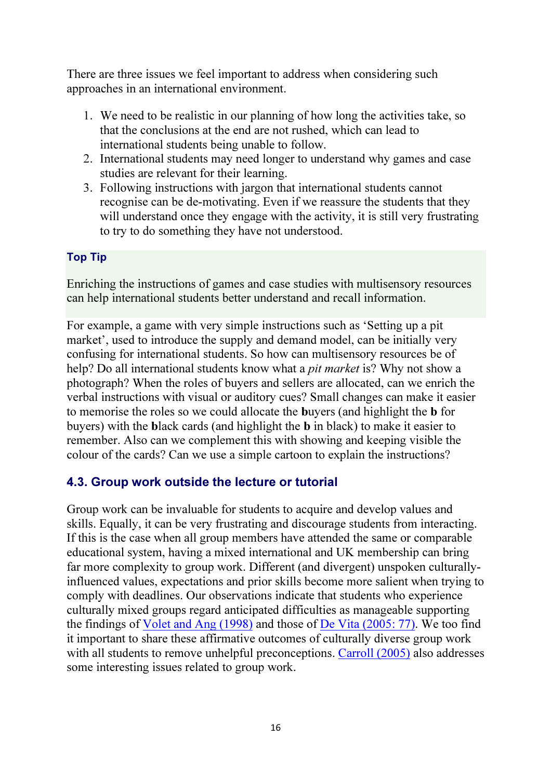There are three issues we feel important to address when considering such approaches in an international environment.

- 1. We need to be realistic in our planning of how long the activities take, so that the conclusions at the end are not rushed, which can lead to international students being unable to follow.
- 2. International students may need longer to understand why games and case studies are relevant for their learning.
- 3. Following instructions with jargon that international students cannot recognise can be de-motivating. Even if we reassure the students that they will understand once they engage with the activity, it is still very frustrating to try to do something they have not understood.

#### Top Tip

Enriching the instructions of games and case studies with multisensory resources can help international students better understand and recall information.

For example, a game with very simple instructions such as 'Setting up a pit market', used to introduce the supply and demand model, can be initially very confusing for international students. So how can multisensory resources be of help? Do all international students know what a *pit market* is? Why not show a photograph? When the roles of buyers and sellers are allocated, can we enrich the verbal instructions with visual or auditory cues? Small changes can make it easier to memorise the roles so we could allocate the buyers (and highlight the b for buyers) with the black cards (and highlight the b in black) to make it easier to remember. Also can we complement this with showing and keeping visible the colour of the cards? Can we use a simple cartoon to explain the instructions?

#### 4.3. Group work outside the lecture or tutorial

Group work can be invaluable for students to acquire and develop values and skills. Equally, it can be very frustrating and discourage students from interacting. If this is the case when all group members have attended the same or comparable educational system, having a mixed international and UK membership can bring far more complexity to group work. Different (and divergent) unspoken culturallyinfluenced values, expectations and prior skills become more salient when trying to comply with deadlines. Our observations indicate that students who experience culturally mixed groups regard anticipated difficulties as manageable supporting the findings of Volet and Ang (1998) and those of De Vita (2005: 77). We too find it important to share these affirmative outcomes of culturally diverse group work with all students to remove unhelpful preconceptions. Carroll (2005) also addresses some interesting issues related to group work.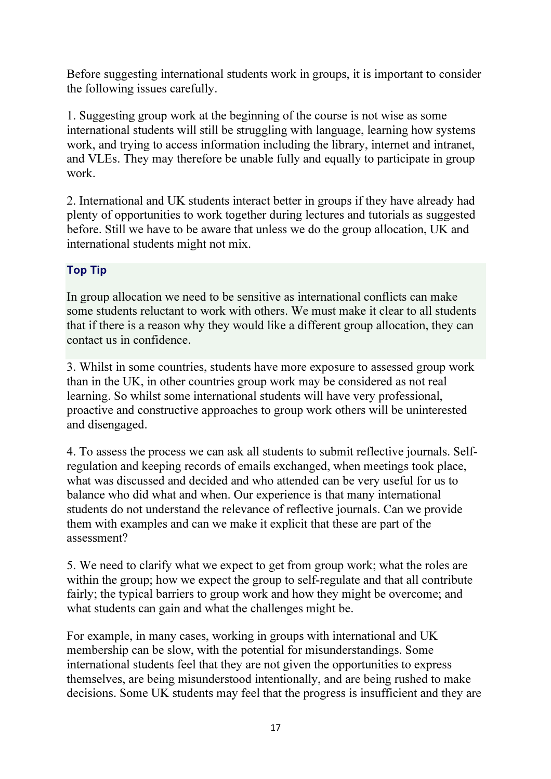Before suggesting international students work in groups, it is important to consider the following issues carefully.

1. Suggesting group work at the beginning of the course is not wise as some international students will still be struggling with language, learning how systems work, and trying to access information including the library, internet and intranet, and VLEs. They may therefore be unable fully and equally to participate in group work.

2. International and UK students interact better in groups if they have already had plenty of opportunities to work together during lectures and tutorials as suggested before. Still we have to be aware that unless we do the group allocation, UK and international students might not mix.

#### Top Tip

In group allocation we need to be sensitive as international conflicts can make some students reluctant to work with others. We must make it clear to all students that if there is a reason why they would like a different group allocation, they can contact us in confidence.

3. Whilst in some countries, students have more exposure to assessed group work than in the UK, in other countries group work may be considered as not real learning. So whilst some international students will have very professional, proactive and constructive approaches to group work others will be uninterested and disengaged.

4. To assess the process we can ask all students to submit reflective journals. Selfregulation and keeping records of emails exchanged, when meetings took place, what was discussed and decided and who attended can be very useful for us to balance who did what and when. Our experience is that many international students do not understand the relevance of reflective journals. Can we provide them with examples and can we make it explicit that these are part of the assessment?

5. We need to clarify what we expect to get from group work; what the roles are within the group; how we expect the group to self-regulate and that all contribute fairly; the typical barriers to group work and how they might be overcome; and what students can gain and what the challenges might be.

For example, in many cases, working in groups with international and UK membership can be slow, with the potential for misunderstandings. Some international students feel that they are not given the opportunities to express themselves, are being misunderstood intentionally, and are being rushed to make decisions. Some UK students may feel that the progress is insufficient and they are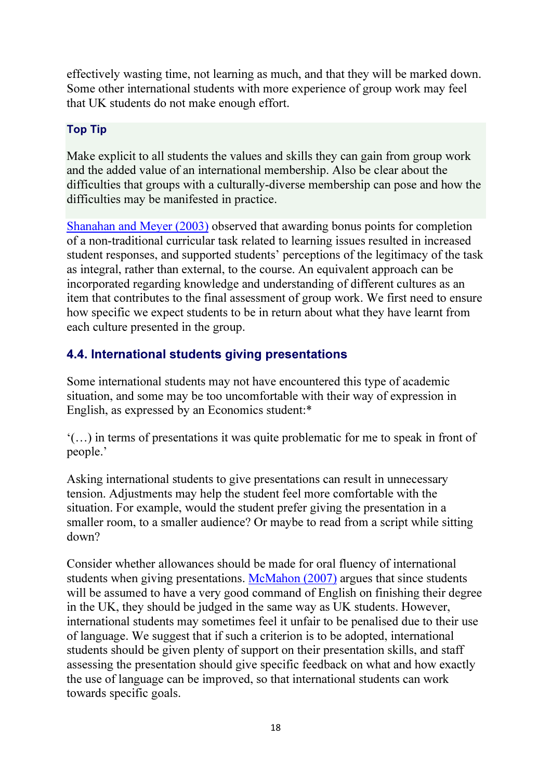effectively wasting time, not learning as much, and that they will be marked down. Some other international students with more experience of group work may feel that UK students do not make enough effort.

#### Top Tip

Make explicit to all students the values and skills they can gain from group work and the added value of an international membership. Also be clear about the difficulties that groups with a culturally-diverse membership can pose and how the difficulties may be manifested in practice.

Shanahan and Meyer (2003) observed that awarding bonus points for completion of a non-traditional curricular task related to learning issues resulted in increased student responses, and supported students' perceptions of the legitimacy of the task as integral, rather than external, to the course. An equivalent approach can be incorporated regarding knowledge and understanding of different cultures as an item that contributes to the final assessment of group work. We first need to ensure how specific we expect students to be in return about what they have learnt from each culture presented in the group.

#### 4.4. International students giving presentations

Some international students may not have encountered this type of academic situation, and some may be too uncomfortable with their way of expression in English, as expressed by an Economics student:\*

'(…) in terms of presentations it was quite problematic for me to speak in front of people.'

Asking international students to give presentations can result in unnecessary tension. Adjustments may help the student feel more comfortable with the situation. For example, would the student prefer giving the presentation in a smaller room, to a smaller audience? Or maybe to read from a script while sitting down?

Consider whether allowances should be made for oral fluency of international students when giving presentations. McMahon (2007) argues that since students will be assumed to have a very good command of English on finishing their degree in the UK, they should be judged in the same way as UK students. However, international students may sometimes feel it unfair to be penalised due to their use of language. We suggest that if such a criterion is to be adopted, international students should be given plenty of support on their presentation skills, and staff assessing the presentation should give specific feedback on what and how exactly the use of language can be improved, so that international students can work towards specific goals.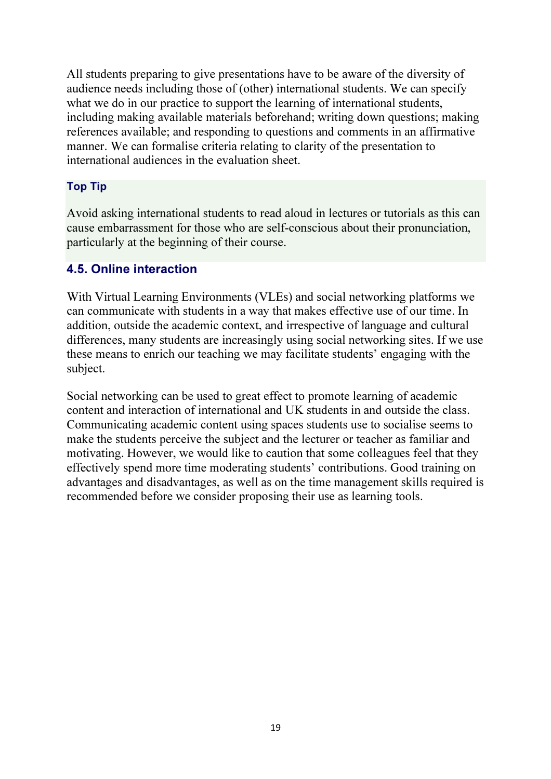All students preparing to give presentations have to be aware of the diversity of audience needs including those of (other) international students. We can specify what we do in our practice to support the learning of international students, including making available materials beforehand; writing down questions; making references available; and responding to questions and comments in an affirmative manner. We can formalise criteria relating to clarity of the presentation to international audiences in the evaluation sheet.

#### Top Tip

Avoid asking international students to read aloud in lectures or tutorials as this can cause embarrassment for those who are self-conscious about their pronunciation, particularly at the beginning of their course.

#### 4.5. Online interaction

With Virtual Learning Environments (VLEs) and social networking platforms we can communicate with students in a way that makes effective use of our time. In addition, outside the academic context, and irrespective of language and cultural differences, many students are increasingly using social networking sites. If we use these means to enrich our teaching we may facilitate students' engaging with the subject.

Social networking can be used to great effect to promote learning of academic content and interaction of international and UK students in and outside the class. Communicating academic content using spaces students use to socialise seems to make the students perceive the subject and the lecturer or teacher as familiar and motivating. However, we would like to caution that some colleagues feel that they effectively spend more time moderating students' contributions. Good training on advantages and disadvantages, as well as on the time management skills required is recommended before we consider proposing their use as learning tools.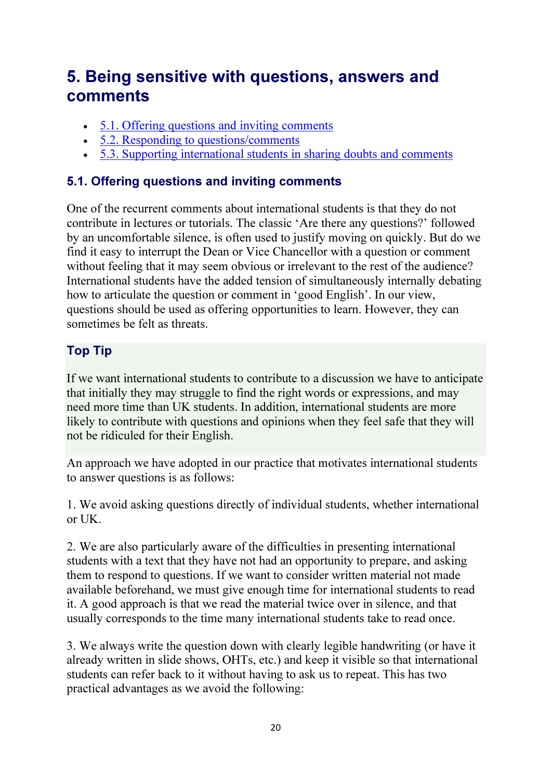# 5. Being sensitive with questions, answers and comments

- 5.1. Offering questions and inviting comments
- 5.2. Responding to questions/comments
- 5.3. Supporting international students in sharing doubts and comments

### 5.1. Offering questions and inviting comments

One of the recurrent comments about international students is that they do not contribute in lectures or tutorials. The classic 'Are there any questions?' followed by an uncomfortable silence, is often used to justify moving on quickly. But do we find it easy to interrupt the Dean or Vice Chancellor with a question or comment without feeling that it may seem obvious or irrelevant to the rest of the audience? International students have the added tension of simultaneously internally debating how to articulate the question or comment in 'good English'. In our view, questions should be used as offering opportunities to learn. However, they can sometimes be felt as threats.

### Top Tip

If we want international students to contribute to a discussion we have to anticipate that initially they may struggle to find the right words or expressions, and may need more time than UK students. In addition, international students are more likely to contribute with questions and opinions when they feel safe that they will not be ridiculed for their English.

An approach we have adopted in our practice that motivates international students to answer questions is as follows:

1. We avoid asking questions directly of individual students, whether international or UK.

2. We are also particularly aware of the difficulties in presenting international students with a text that they have not had an opportunity to prepare, and asking them to respond to questions. If we want to consider written material not made available beforehand, we must give enough time for international students to read it. A good approach is that we read the material twice over in silence, and that usually corresponds to the time many international students take to read once.

3. We always write the question down with clearly legible handwriting (or have it already written in slide shows, OHTs, etc.) and keep it visible so that international students can refer back to it without having to ask us to repeat. This has two practical advantages as we avoid the following: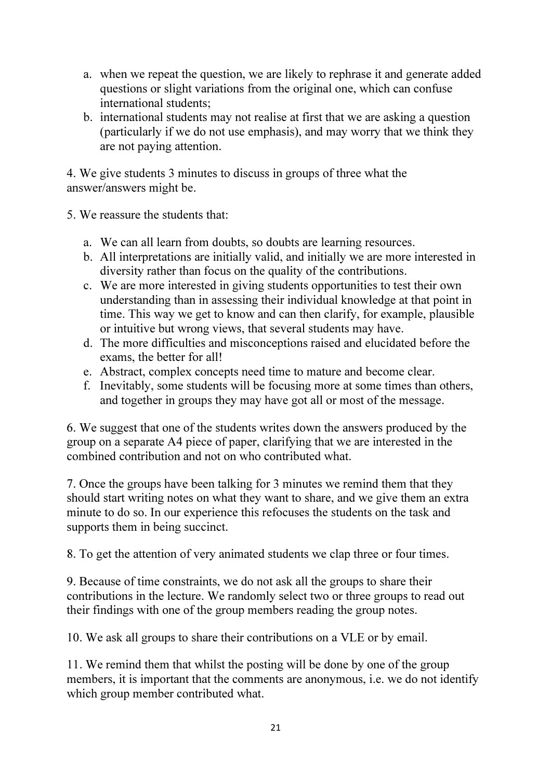- a. when we repeat the question, we are likely to rephrase it and generate added questions or slight variations from the original one, which can confuse international students;
- b. international students may not realise at first that we are asking a question (particularly if we do not use emphasis), and may worry that we think they are not paying attention.

4. We give students 3 minutes to discuss in groups of three what the answer/answers might be.

5. We reassure the students that:

- a. We can all learn from doubts, so doubts are learning resources.
- b. All interpretations are initially valid, and initially we are more interested in diversity rather than focus on the quality of the contributions.
- c. We are more interested in giving students opportunities to test their own understanding than in assessing their individual knowledge at that point in time. This way we get to know and can then clarify, for example, plausible or intuitive but wrong views, that several students may have.
- d. The more difficulties and misconceptions raised and elucidated before the exams, the better for all!
- e. Abstract, complex concepts need time to mature and become clear.
- f. Inevitably, some students will be focusing more at some times than others, and together in groups they may have got all or most of the message.

6. We suggest that one of the students writes down the answers produced by the group on a separate A4 piece of paper, clarifying that we are interested in the combined contribution and not on who contributed what.

7. Once the groups have been talking for 3 minutes we remind them that they should start writing notes on what they want to share, and we give them an extra minute to do so. In our experience this refocuses the students on the task and supports them in being succinct.

8. To get the attention of very animated students we clap three or four times.

9. Because of time constraints, we do not ask all the groups to share their contributions in the lecture. We randomly select two or three groups to read out their findings with one of the group members reading the group notes.

10. We ask all groups to share their contributions on a VLE or by email.

11. We remind them that whilst the posting will be done by one of the group members, it is important that the comments are anonymous, i.e. we do not identify which group member contributed what.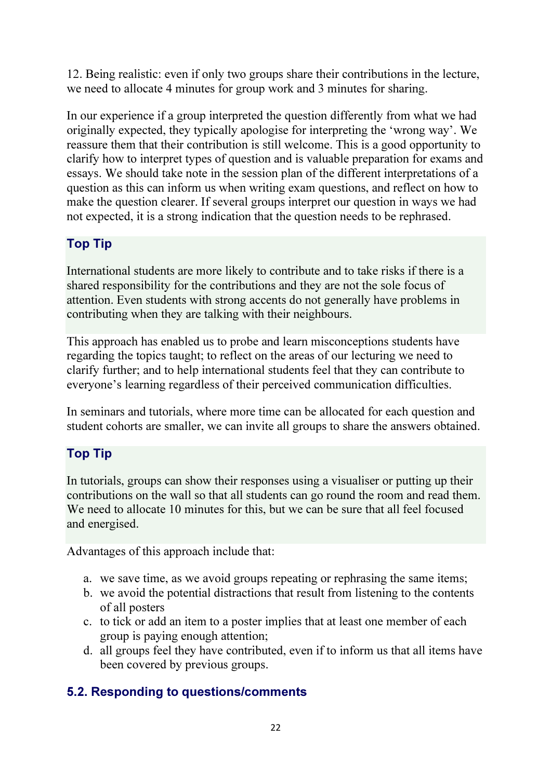12. Being realistic: even if only two groups share their contributions in the lecture, we need to allocate 4 minutes for group work and 3 minutes for sharing.

In our experience if a group interpreted the question differently from what we had originally expected, they typically apologise for interpreting the 'wrong way'. We reassure them that their contribution is still welcome. This is a good opportunity to clarify how to interpret types of question and is valuable preparation for exams and essays. We should take note in the session plan of the different interpretations of a question as this can inform us when writing exam questions, and reflect on how to make the question clearer. If several groups interpret our question in ways we had not expected, it is a strong indication that the question needs to be rephrased.

#### Top Tip

International students are more likely to contribute and to take risks if there is a shared responsibility for the contributions and they are not the sole focus of attention. Even students with strong accents do not generally have problems in contributing when they are talking with their neighbours.

This approach has enabled us to probe and learn misconceptions students have regarding the topics taught; to reflect on the areas of our lecturing we need to clarify further; and to help international students feel that they can contribute to everyone's learning regardless of their perceived communication difficulties.

In seminars and tutorials, where more time can be allocated for each question and student cohorts are smaller, we can invite all groups to share the answers obtained.

### Top Tip

In tutorials, groups can show their responses using a visualiser or putting up their contributions on the wall so that all students can go round the room and read them. We need to allocate 10 minutes for this, but we can be sure that all feel focused and energised.

Advantages of this approach include that:

- a. we save time, as we avoid groups repeating or rephrasing the same items;
- b. we avoid the potential distractions that result from listening to the contents of all posters
- c. to tick or add an item to a poster implies that at least one member of each group is paying enough attention;
- d. all groups feel they have contributed, even if to inform us that all items have been covered by previous groups.

### 5.2. Responding to questions/comments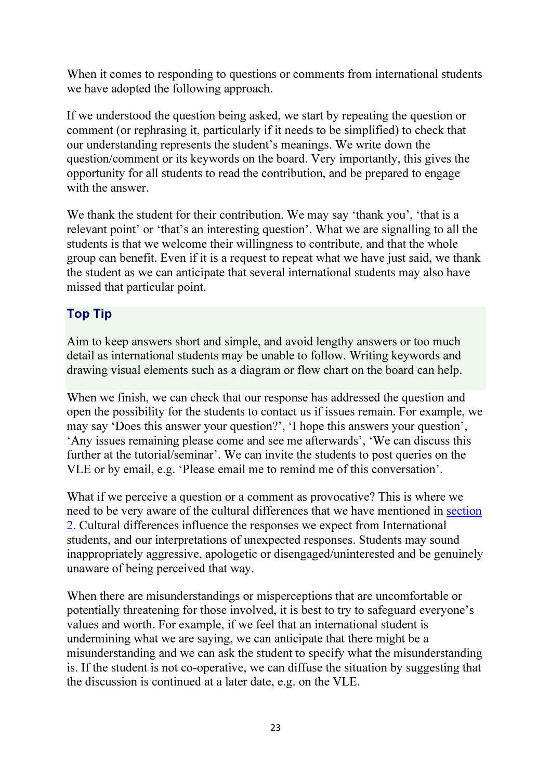When it comes to responding to questions or comments from international students we have adopted the following approach.

If we understood the question being asked, we start by repeating the question or comment (or rephrasing it, particularly if it needs to be simplified) to check that our understanding represents the student's meanings. We write down the question/comment or its keywords on the board. Very importantly, this gives the opportunity for all students to read the contribution, and be prepared to engage with the answer.

We thank the student for their contribution. We may say 'thank you', 'that is a relevant point' or 'that's an interesting question'. What we are signalling to all the students is that we welcome their willingness to contribute, and that the whole group can benefit. Even if it is a request to repeat what we have just said, we thank the student as we can anticipate that several international students may also have missed that particular point.

#### Top Tip

Aim to keep answers short and simple, and avoid lengthy answers or too much detail as international students may be unable to follow. Writing keywords and drawing visual elements such as a diagram or flow chart on the board can help.

When we finish, we can check that our response has addressed the question and open the possibility for the students to contact us if issues remain. For example, we may say 'Does this answer your question?', 'I hope this answers your question', 'Any issues remaining please come and see me afterwards', 'We can discuss this further at the tutorial/seminar'. We can invite the students to post queries on the VLE or by email, e.g. 'Please email me to remind me of this conversation'.

What if we perceive a question or a comment as provocative? This is where we need to be very aware of the cultural differences that we have mentioned in section 2. Cultural differences influence the responses we expect from International students, and our interpretations of unexpected responses. Students may sound inappropriately aggressive, apologetic or disengaged/uninterested and be genuinely unaware of being perceived that way.

When there are misunderstandings or misperceptions that are uncomfortable or potentially threatening for those involved, it is best to try to safeguard everyone's values and worth. For example, if we feel that an international student is undermining what we are saying, we can anticipate that there might be a misunderstanding and we can ask the student to specify what the misunderstanding is. If the student is not co-operative, we can diffuse the situation by suggesting that the discussion is continued at a later date, e.g. on the VLE.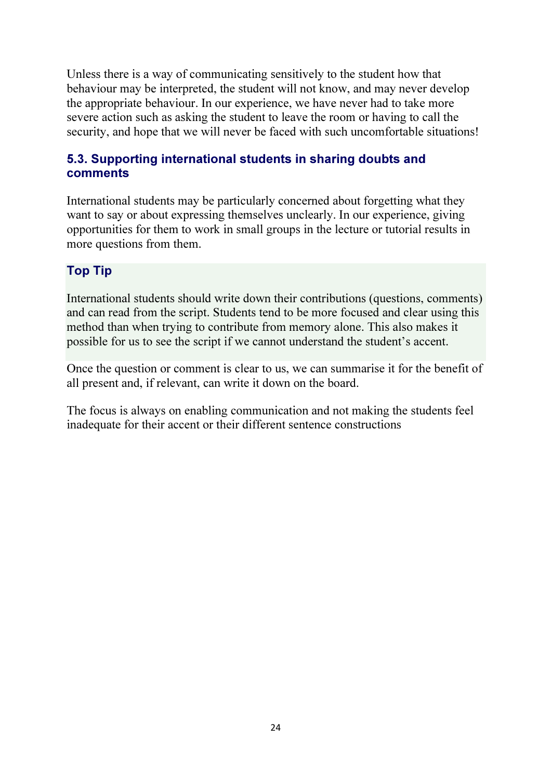Unless there is a way of communicating sensitively to the student how that behaviour may be interpreted, the student will not know, and may never develop the appropriate behaviour. In our experience, we have never had to take more severe action such as asking the student to leave the room or having to call the security, and hope that we will never be faced with such uncomfortable situations!

#### 5.3. Supporting international students in sharing doubts and comments

International students may be particularly concerned about forgetting what they want to say or about expressing themselves unclearly. In our experience, giving opportunities for them to work in small groups in the lecture or tutorial results in more questions from them.

### Top Tip

International students should write down their contributions (questions, comments) and can read from the script. Students tend to be more focused and clear using this method than when trying to contribute from memory alone. This also makes it possible for us to see the script if we cannot understand the student's accent.

Once the question or comment is clear to us, we can summarise it for the benefit of all present and, if relevant, can write it down on the board.

The focus is always on enabling communication and not making the students feel inadequate for their accent or their different sentence constructions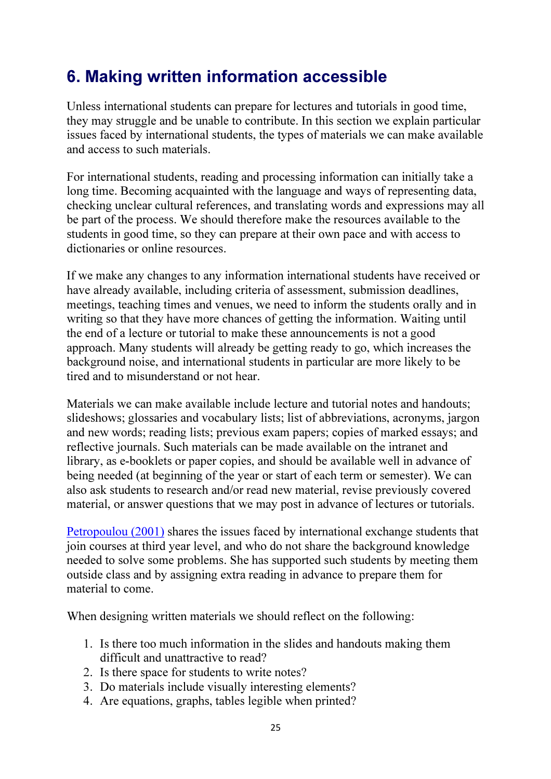# 6. Making written information accessible

Unless international students can prepare for lectures and tutorials in good time, they may struggle and be unable to contribute. In this section we explain particular issues faced by international students, the types of materials we can make available and access to such materials.

For international students, reading and processing information can initially take a long time. Becoming acquainted with the language and ways of representing data, checking unclear cultural references, and translating words and expressions may all be part of the process. We should therefore make the resources available to the students in good time, so they can prepare at their own pace and with access to dictionaries or online resources.

If we make any changes to any information international students have received or have already available, including criteria of assessment, submission deadlines, meetings, teaching times and venues, we need to inform the students orally and in writing so that they have more chances of getting the information. Waiting until the end of a lecture or tutorial to make these announcements is not a good approach. Many students will already be getting ready to go, which increases the background noise, and international students in particular are more likely to be tired and to misunderstand or not hear.

Materials we can make available include lecture and tutorial notes and handouts; slideshows; glossaries and vocabulary lists; list of abbreviations, acronyms, jargon and new words; reading lists; previous exam papers; copies of marked essays; and reflective journals. Such materials can be made available on the intranet and library, as e-booklets or paper copies, and should be available well in advance of being needed (at beginning of the year or start of each term or semester). We can also ask students to research and/or read new material, revise previously covered material, or answer questions that we may post in advance of lectures or tutorials.

Petropoulou (2001) shares the issues faced by international exchange students that join courses at third year level, and who do not share the background knowledge needed to solve some problems. She has supported such students by meeting them outside class and by assigning extra reading in advance to prepare them for material to come.

When designing written materials we should reflect on the following:

- 1. Is there too much information in the slides and handouts making them difficult and unattractive to read?
- 2. Is there space for students to write notes?
- 3. Do materials include visually interesting elements?
- 4. Are equations, graphs, tables legible when printed?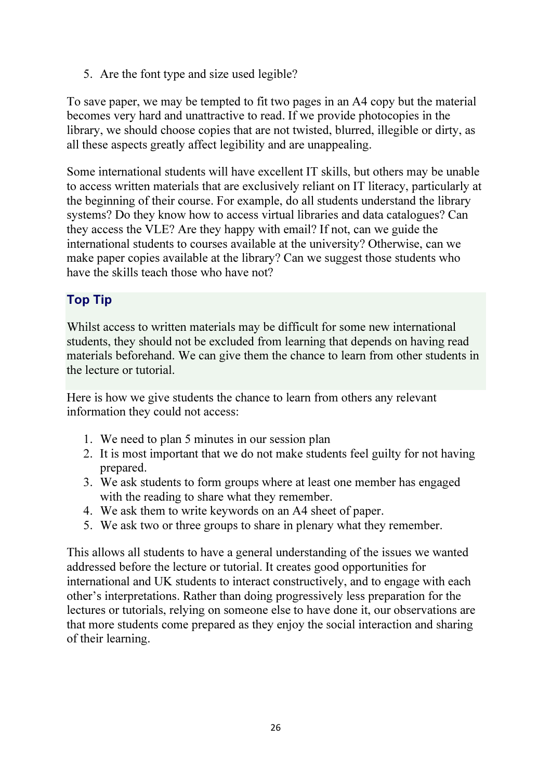5. Are the font type and size used legible?

To save paper, we may be tempted to fit two pages in an A4 copy but the material becomes very hard and unattractive to read. If we provide photocopies in the library, we should choose copies that are not twisted, blurred, illegible or dirty, as all these aspects greatly affect legibility and are unappealing.

Some international students will have excellent IT skills, but others may be unable to access written materials that are exclusively reliant on IT literacy, particularly at the beginning of their course. For example, do all students understand the library systems? Do they know how to access virtual libraries and data catalogues? Can they access the VLE? Are they happy with email? If not, can we guide the international students to courses available at the university? Otherwise, can we make paper copies available at the library? Can we suggest those students who have the skills teach those who have not?

### Top Tip

Whilst access to written materials may be difficult for some new international students, they should not be excluded from learning that depends on having read materials beforehand. We can give them the chance to learn from other students in the lecture or tutorial.

Here is how we give students the chance to learn from others any relevant information they could not access:

- 1. We need to plan 5 minutes in our session plan
- 2. It is most important that we do not make students feel guilty for not having prepared.
- 3. We ask students to form groups where at least one member has engaged with the reading to share what they remember.
- 4. We ask them to write keywords on an A4 sheet of paper.
- 5. We ask two or three groups to share in plenary what they remember.

This allows all students to have a general understanding of the issues we wanted addressed before the lecture or tutorial. It creates good opportunities for international and UK students to interact constructively, and to engage with each other's interpretations. Rather than doing progressively less preparation for the lectures or tutorials, relying on someone else to have done it, our observations are that more students come prepared as they enjoy the social interaction and sharing of their learning.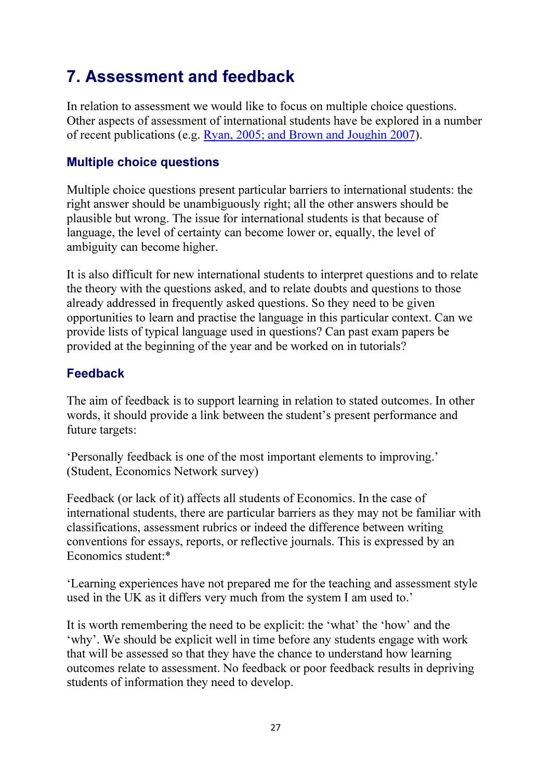# 7. Assessment and feedback

In relation to assessment we would like to focus on multiple choice questions. Other aspects of assessment of international students have be explored in a number of recent publications (e.g. Ryan, 2005; and Brown and Joughin 2007).

#### Multiple choice questions

Multiple choice questions present particular barriers to international students: the right answer should be unambiguously right; all the other answers should be plausible but wrong. The issue for international students is that because of language, the level of certainty can become lower or, equally, the level of ambiguity can become higher.

It is also difficult for new international students to interpret questions and to relate the theory with the questions asked, and to relate doubts and questions to those already addressed in frequently asked questions. So they need to be given opportunities to learn and practise the language in this particular context. Can we provide lists of typical language used in questions? Can past exam papers be provided at the beginning of the year and be worked on in tutorials?

#### Feedback

The aim of feedback is to support learning in relation to stated outcomes. In other words, it should provide a link between the student's present performance and future targets:

'Personally feedback is one of the most important elements to improving.' (Student, Economics Network survey)

Feedback (or lack of it) affects all students of Economics. In the case of international students, there are particular barriers as they may not be familiar with classifications, assessment rubrics or indeed the difference between writing conventions for essays, reports, or reflective journals. This is expressed by an Economics student:\*

'Learning experiences have not prepared me for the teaching and assessment style used in the UK as it differs very much from the system I am used to.'

It is worth remembering the need to be explicit: the 'what' the 'how' and the 'why'. We should be explicit well in time before any students engage with work that will be assessed so that they have the chance to understand how learning outcomes relate to assessment. No feedback or poor feedback results in depriving students of information they need to develop.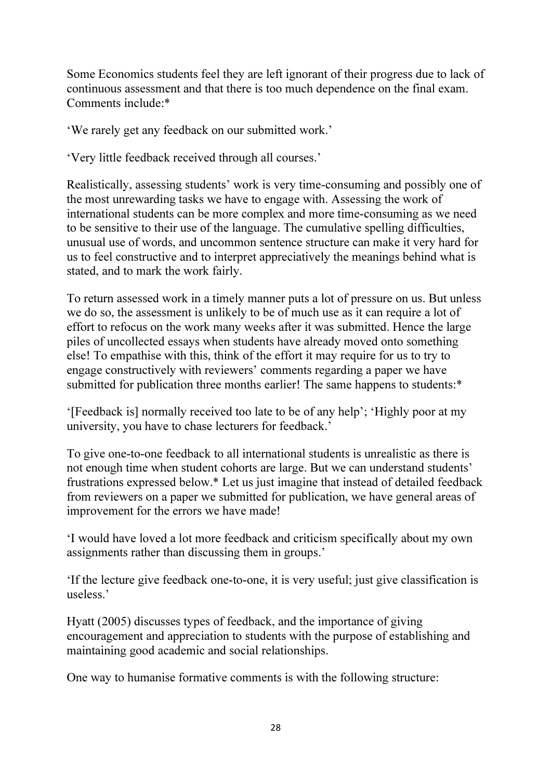Some Economics students feel they are left ignorant of their progress due to lack of continuous assessment and that there is too much dependence on the final exam. Comments include:\*

'We rarely get any feedback on our submitted work.'

'Very little feedback received through all courses.'

Realistically, assessing students' work is very time-consuming and possibly one of the most unrewarding tasks we have to engage with. Assessing the work of international students can be more complex and more time-consuming as we need to be sensitive to their use of the language. The cumulative spelling difficulties, unusual use of words, and uncommon sentence structure can make it very hard for us to feel constructive and to interpret appreciatively the meanings behind what is stated, and to mark the work fairly.

To return assessed work in a timely manner puts a lot of pressure on us. But unless we do so, the assessment is unlikely to be of much use as it can require a lot of effort to refocus on the work many weeks after it was submitted. Hence the large piles of uncollected essays when students have already moved onto something else! To empathise with this, think of the effort it may require for us to try to engage constructively with reviewers' comments regarding a paper we have submitted for publication three months earlier! The same happens to students:\*

'[Feedback is] normally received too late to be of any help'; 'Highly poor at my university, you have to chase lecturers for feedback.'

To give one-to-one feedback to all international students is unrealistic as there is not enough time when student cohorts are large. But we can understand students' frustrations expressed below.\* Let us just imagine that instead of detailed feedback from reviewers on a paper we submitted for publication, we have general areas of improvement for the errors we have made!

'I would have loved a lot more feedback and criticism specifically about my own assignments rather than discussing them in groups.'

'If the lecture give feedback one-to-one, it is very useful; just give classification is useless.'

Hyatt (2005) discusses types of feedback, and the importance of giving encouragement and appreciation to students with the purpose of establishing and maintaining good academic and social relationships.

One way to humanise formative comments is with the following structure: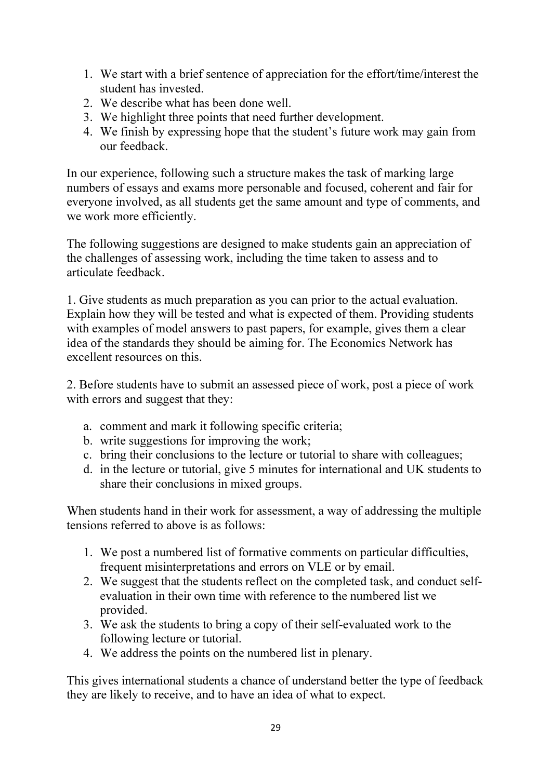- 1. We start with a brief sentence of appreciation for the effort/time/interest the student has invested.
- 2. We describe what has been done well.
- 3. We highlight three points that need further development.
- 4. We finish by expressing hope that the student's future work may gain from our feedback.

In our experience, following such a structure makes the task of marking large numbers of essays and exams more personable and focused, coherent and fair for everyone involved, as all students get the same amount and type of comments, and we work more efficiently.

The following suggestions are designed to make students gain an appreciation of the challenges of assessing work, including the time taken to assess and to articulate feedback.

1. Give students as much preparation as you can prior to the actual evaluation. Explain how they will be tested and what is expected of them. Providing students with examples of model answers to past papers, for example, gives them a clear idea of the standards they should be aiming for. The Economics Network has excellent resources on this.

2. Before students have to submit an assessed piece of work, post a piece of work with errors and suggest that they:

- a. comment and mark it following specific criteria;
- b. write suggestions for improving the work;
- c. bring their conclusions to the lecture or tutorial to share with colleagues;
- d. in the lecture or tutorial, give 5 minutes for international and UK students to share their conclusions in mixed groups.

When students hand in their work for assessment, a way of addressing the multiple tensions referred to above is as follows:

- 1. We post a numbered list of formative comments on particular difficulties, frequent misinterpretations and errors on VLE or by email.
- 2. We suggest that the students reflect on the completed task, and conduct selfevaluation in their own time with reference to the numbered list we provided.
- 3. We ask the students to bring a copy of their self-evaluated work to the following lecture or tutorial.
- 4. We address the points on the numbered list in plenary.

This gives international students a chance of understand better the type of feedback they are likely to receive, and to have an idea of what to expect.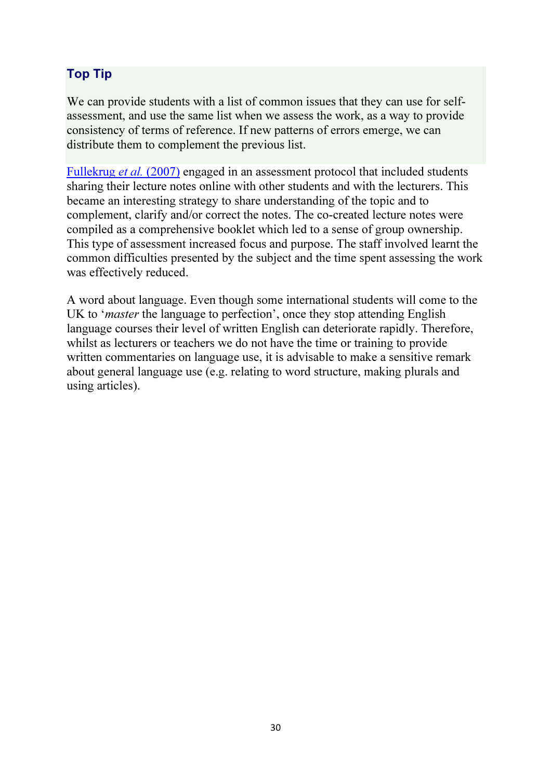### Top Tip

We can provide students with a list of common issues that they can use for selfassessment, and use the same list when we assess the work, as a way to provide consistency of terms of reference. If new patterns of errors emerge, we can distribute them to complement the previous list.

Fullekrug *et al.* (2007) engaged in an assessment protocol that included students sharing their lecture notes online with other students and with the lecturers. This became an interesting strategy to share understanding of the topic and to complement, clarify and/or correct the notes. The co-created lecture notes were compiled as a comprehensive booklet which led to a sense of group ownership. This type of assessment increased focus and purpose. The staff involved learnt the common difficulties presented by the subject and the time spent assessing the work was effectively reduced.

A word about language. Even though some international students will come to the UK to '*master* the language to perfection', once they stop attending English language courses their level of written English can deteriorate rapidly. Therefore, whilst as lecturers or teachers we do not have the time or training to provide written commentaries on language use, it is advisable to make a sensitive remark about general language use (e.g. relating to word structure, making plurals and using articles).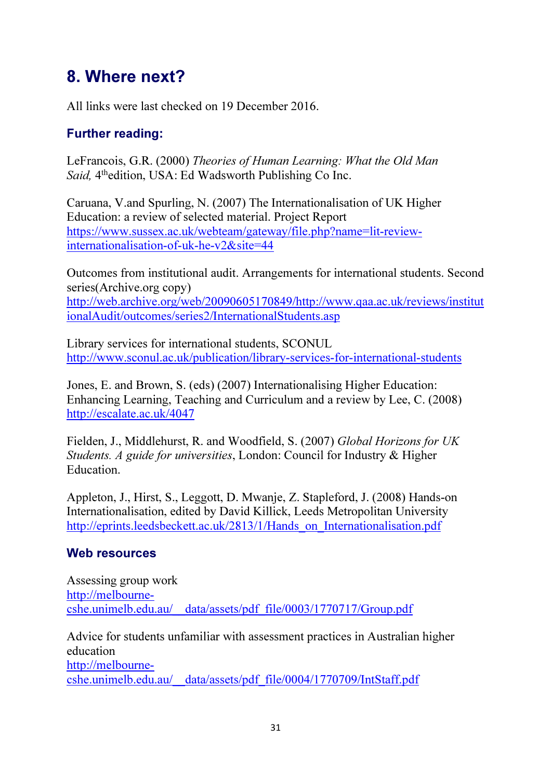# 8. Where next?

All links were last checked on 19 December 2016.

### Further reading:

LeFrancois, G.R. (2000) *Theories of Human Learning: What the Old Man*  Said, 4<sup>th</sup>edition, USA: Ed Wadsworth Publishing Co Inc.

Caruana, V.and Spurling, N. (2007) The Internationalisation of UK Higher Education: a review of selected material. Project Report https://www.sussex.ac.uk/webteam/gateway/file.php?name=lit-reviewinternationalisation-of-uk-he-v2&site=44

Outcomes from institutional audit. Arrangements for international students. Second series(Archive.org copy) http://web.archive.org/web/20090605170849/http://www.qaa.ac.uk/reviews/institut ionalAudit/outcomes/series2/InternationalStudents.asp

Library services for international students, SCONUL http://www.sconul.ac.uk/publication/library-services-for-international-students

Jones, E. and Brown, S. (eds) (2007) Internationalising Higher Education: Enhancing Learning, Teaching and Curriculum and a review by Lee, C. (2008) http://escalate.ac.uk/4047

Fielden, J., Middlehurst, R. and Woodfield, S. (2007) *Global Horizons for UK Students. A guide for universities*, London: Council for Industry & Higher Education.

Appleton, J., Hirst, S., Leggott, D. Mwanje, Z. Stapleford, J. (2008) Hands-on Internationalisation, edited by David Killick, Leeds Metropolitan University http://eprints.leedsbeckett.ac.uk/2813/1/Hands\_on\_Internationalisation.pdf

#### Web resources

Assessing group work http://melbournecshe.unimelb.edu.au/\_\_data/assets/pdf\_file/0003/1770717/Group.pdf

Advice for students unfamiliar with assessment practices in Australian higher education http://melbournecshe.unimelb.edu.au/\_\_data/assets/pdf\_file/0004/1770709/IntStaff.pdf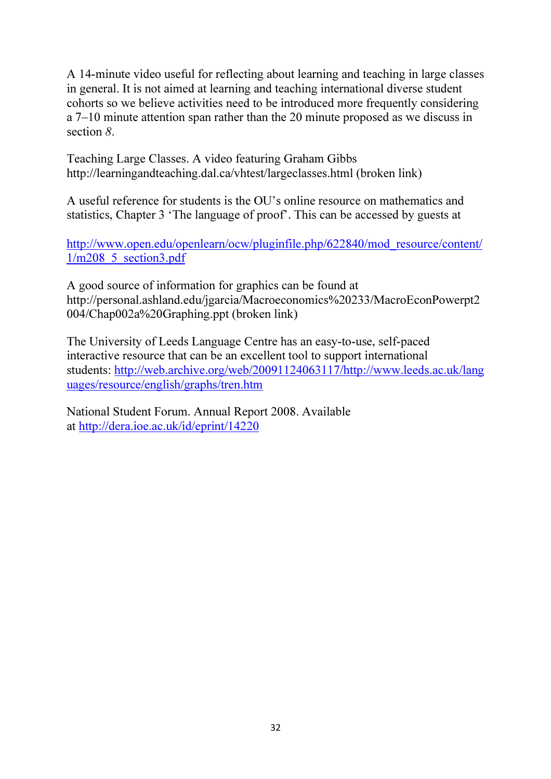A 14-minute video useful for reflecting about learning and teaching in large classes in general. It is not aimed at learning and teaching international diverse student cohorts so we believe activities need to be introduced more frequently considering a 7–10 minute attention span rather than the 20 minute proposed as we discuss in section *8*.

Teaching Large Classes. A video featuring Graham Gibbs http://learningandteaching.dal.ca/vhtest/largeclasses.html (broken link)

A useful reference for students is the OU's online resource on mathematics and statistics, Chapter 3 'The language of proof'. This can be accessed by guests at

http://www.open.edu/openlearn/ocw/pluginfile.php/622840/mod\_resource/content/ 1/m208\_5\_section3.pdf

A good source of information for graphics can be found at http://personal.ashland.edu/jgarcia/Macroeconomics%20233/MacroEconPowerpt2 004/Chap002a%20Graphing.ppt (broken link)

The University of Leeds Language Centre has an easy-to-use, self-paced interactive resource that can be an excellent tool to support international students: http://web.archive.org/web/20091124063117/http://www.leeds.ac.uk/lang uages/resource/english/graphs/tren.htm

National Student Forum. Annual Report 2008. Available at http://dera.ioe.ac.uk/id/eprint/14220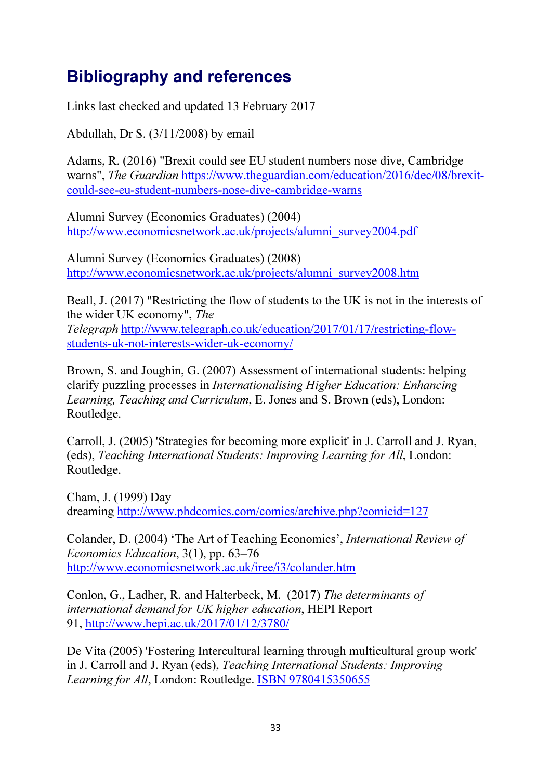# Bibliography and references

Links last checked and updated 13 February 2017

Abdullah, Dr S. (3/11/2008) by email

Adams, R. (2016) "Brexit could see EU student numbers nose dive, Cambridge warns", *The Guardian* https://www.theguardian.com/education/2016/dec/08/brexitcould-see-eu-student-numbers-nose-dive-cambridge-warns

Alumni Survey (Economics Graduates) (2004) http://www.economicsnetwork.ac.uk/projects/alumni\_survey2004.pdf

Alumni Survey (Economics Graduates) (2008) http://www.economicsnetwork.ac.uk/projects/alumni\_survey2008.htm

Beall, J. (2017) "Restricting the flow of students to the UK is not in the interests of the wider UK economy", *The Telegraph* http://www.telegraph.co.uk/education/2017/01/17/restricting-flowstudents-uk-not-interests-wider-uk-economy/

Brown, S. and Joughin, G. (2007) Assessment of international students: helping clarify puzzling processes in *Internationalising Higher Education: Enhancing Learning, Teaching and Curriculum*, E. Jones and S. Brown (eds), London: Routledge.

Carroll, J. (2005) 'Strategies for becoming more explicit' in J. Carroll and J. Ryan, (eds), *Teaching International Students: Improving Learning for All*, London: Routledge.

Cham, J. (1999) Day dreaming http://www.phdcomics.com/comics/archive.php?comicid=127

Colander, D. (2004) 'The Art of Teaching Economics', *International Review of Economics Education*, 3(1), pp. 63–76 http://www.economicsnetwork.ac.uk/iree/i3/colander.htm

Conlon, G., Ladher, R. and Halterbeck, M. (2017) *The determinants of international demand for UK higher education*, HEPI Report 91, http://www.hepi.ac.uk/2017/01/12/3780/

De Vita (2005) 'Fostering Intercultural learning through multicultural group work' in J. Carroll and J. Ryan (eds), *Teaching International Students: Improving Learning for All*, London: Routledge. ISBN 9780415350655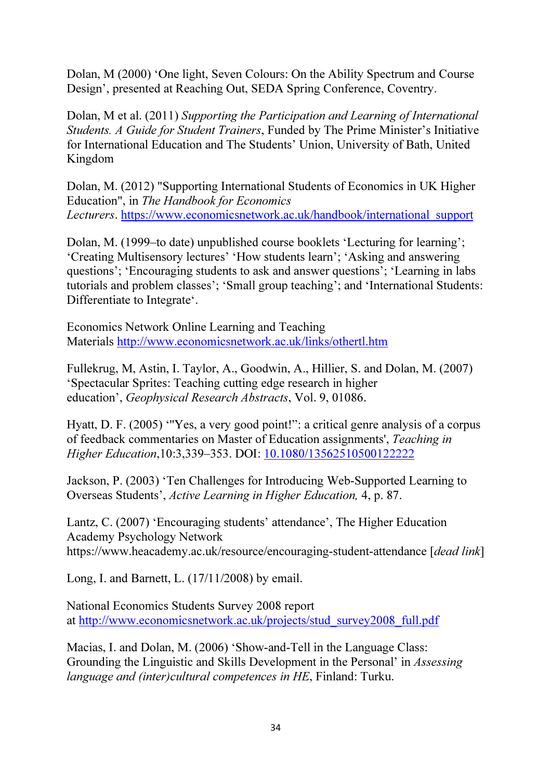Dolan, M (2000) 'One light, Seven Colours: On the Ability Spectrum and Course Design', presented at Reaching Out, SEDA Spring Conference, Coventry.

Dolan, M et al. (2011) *Supporting the Participation and Learning of International Students. A Guide for Student Trainers*, Funded by The Prime Minister's Initiative for International Education and The Students' Union, University of Bath, United Kingdom

Dolan, M. (2012) "Supporting International Students of Economics in UK Higher Education", in *The Handbook for Economics Lecturers*. https://www.economicsnetwork.ac.uk/handbook/international\_support

Dolan, M. (1999–to date) unpublished course booklets 'Lecturing for learning'; 'Creating Multisensory lectures' 'How students learn'; 'Asking and answering questions'; 'Encouraging students to ask and answer questions'; 'Learning in labs tutorials and problem classes'; 'Small group teaching'; and 'International Students: Differentiate to Integrate'.

Economics Network Online Learning and Teaching Materials http://www.economicsnetwork.ac.uk/links/othertl.htm

Fullekrug, M, Astin, I. Taylor, A., Goodwin, A., Hillier, S. and Dolan, M. (2007) 'Spectacular Sprites: Teaching cutting edge research in higher education', *Geophysical Research Abstracts*, Vol. 9, 01086.

Hyatt, D. F. (2005) '''Yes, a very good point!": a critical genre analysis of a corpus of feedback commentaries on Master of Education assignments', *Teaching in Higher Education*,10:3,339–353. DOI: 10.1080/13562510500122222

Jackson, P. (2003) 'Ten Challenges for Introducing Web-Supported Learning to Overseas Students', *Active Learning in Higher Education,* 4, p. 87.

Lantz, C. (2007) 'Encouraging students' attendance', The Higher Education Academy Psychology Network https://www.heacademy.ac.uk/resource/encouraging-student-attendance [*dead link*]

Long, I. and Barnett, L. (17/11/2008) by email.

National Economics Students Survey 2008 report at http://www.economicsnetwork.ac.uk/projects/stud\_survey2008\_full.pdf

Macias, I. and Dolan, M. (2006) 'Show-and-Tell in the Language Class: Grounding the Linguistic and Skills Development in the Personal' in *Assessing language and (inter)cultural competences in HE*, Finland: Turku.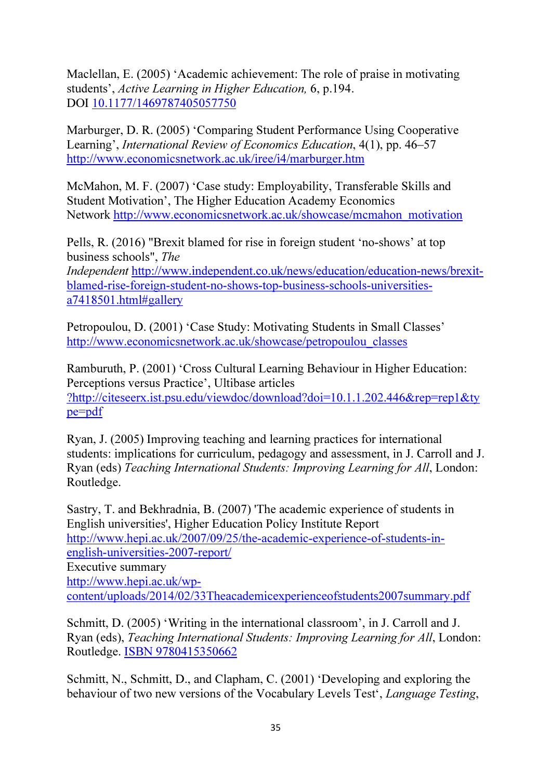Maclellan, E. (2005) 'Academic achievement: The role of praise in motivating students', *Active Learning in Higher Education,* 6, p.194. DOI 10.1177/1469787405057750

Marburger, D. R. (2005) 'Comparing Student Performance Using Cooperative Learning', *International Review of Economics Education*, 4(1), pp. 46–57 http://www.economicsnetwork.ac.uk/iree/i4/marburger.htm

McMahon, M. F. (2007) 'Case study: Employability, Transferable Skills and Student Motivation', The Higher Education Academy Economics Network http://www.economicsnetwork.ac.uk/showcase/mcmahon\_motivation

Pells, R. (2016) "Brexit blamed for rise in foreign student 'no-shows' at top business schools", *The* 

*Independent* http://www.independent.co.uk/news/education/education-news/brexitblamed-rise-foreign-student-no-shows-top-business-schools-universitiesa7418501.html#gallery

Petropoulou, D. (2001) 'Case Study: Motivating Students in Small Classes' http://www.economicsnetwork.ac.uk/showcase/petropoulou\_classes

Ramburuth, P. (2001) 'Cross Cultural Learning Behaviour in Higher Education: Perceptions versus Practice', Ultibase articles ?http://citeseerx.ist.psu.edu/viewdoc/download?doi=10.1.1.202.446&rep=rep1&ty pe=pdf

Ryan, J. (2005) Improving teaching and learning practices for international students: implications for curriculum, pedagogy and assessment, in J. Carroll and J. Ryan (eds) *Teaching International Students: Improving Learning for All*, London: Routledge.

Sastry, T. and Bekhradnia, B. (2007) 'The academic experience of students in English universities', Higher Education Policy Institute Report http://www.hepi.ac.uk/2007/09/25/the-academic-experience-of-students-inenglish-universities-2007-report/ Executive summary http://www.hepi.ac.uk/wpcontent/uploads/2014/02/33Theacademicexperienceofstudents2007summary.pdf

Schmitt, D. (2005) 'Writing in the international classroom', in J. Carroll and J. Ryan (eds), *Teaching International Students: Improving Learning for All*, London: Routledge. ISBN 9780415350662

Schmitt, N., Schmitt, D., and Clapham, C. (2001) 'Developing and exploring the behaviour of two new versions of the Vocabulary Levels Test', *Language Testing*,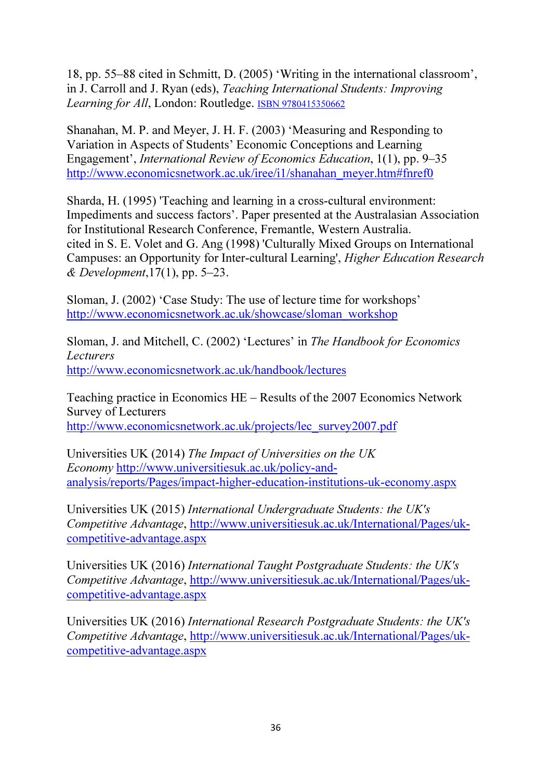18, pp. 55–88 cited in Schmitt, D. (2005) 'Writing in the international classroom', in J. Carroll and J. Ryan (eds), *Teaching International Students: Improving*  Learning for All, London: Routledge. **ISBN 9780415350662** 

Shanahan, M. P. and Meyer, J. H. F. (2003) 'Measuring and Responding to Variation in Aspects of Students' Economic Conceptions and Learning Engagement', *International Review of Economics Education*, 1(1), pp. 9–35 http://www.economicsnetwork.ac.uk/iree/i1/shanahan\_meyer.htm#fnref0

Sharda, H. (1995) 'Teaching and learning in a cross-cultural environment: Impediments and success factors'. Paper presented at the Australasian Association for Institutional Research Conference, Fremantle, Western Australia. cited in S. E. Volet and G. Ang (1998) 'Culturally Mixed Groups on International Campuses: an Opportunity for Inter-cultural Learning', *Higher Education Research & Development*,17(1), pp. 5–23.

Sloman, J. (2002) 'Case Study: The use of lecture time for workshops' http://www.economicsnetwork.ac.uk/showcase/sloman\_workshop

Sloman, J. and Mitchell, C. (2002) 'Lectures' in *The Handbook for Economics Lecturers* http://www.economicsnetwork.ac.uk/handbook/lectures

Teaching practice in Economics HE – Results of the 2007 Economics Network Survey of Lecturers http://www.economicsnetwork.ac.uk/projects/lec\_survey2007.pdf

Universities UK (2014) *The Impact of Universities on the UK Economy* http://www.universitiesuk.ac.uk/policy-andanalysis/reports/Pages/impact-higher-education-institutions-uk-economy.aspx

Universities UK (2015) *International Undergraduate Students: the UK's Competitive Advantage*, http://www.universitiesuk.ac.uk/International/Pages/ukcompetitive-advantage.aspx

Universities UK (2016) *International Taught Postgraduate Students: the UK's Competitive Advantage*, http://www.universitiesuk.ac.uk/International/Pages/ukcompetitive-advantage.aspx

Universities UK (2016) *International Research Postgraduate Students: the UK's Competitive Advantage*, http://www.universitiesuk.ac.uk/International/Pages/ukcompetitive-advantage.aspx